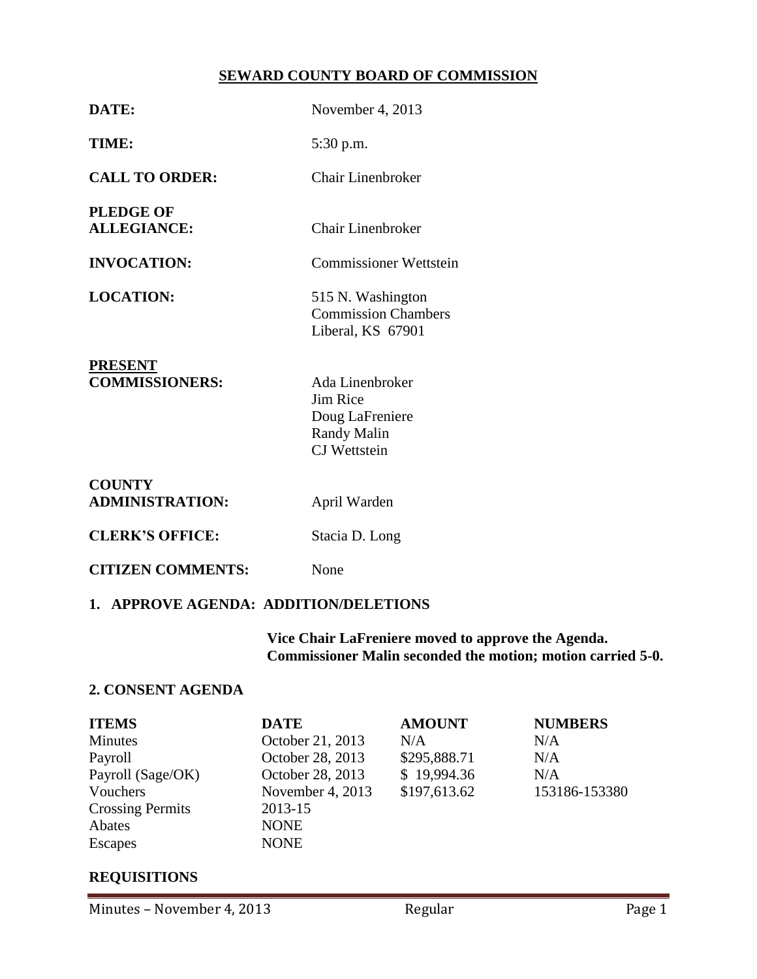### **SEWARD COUNTY BOARD OF COMMISSION**

| DATE:                                   | November 4, 2013                                                                            |
|-----------------------------------------|---------------------------------------------------------------------------------------------|
| TIME:                                   | 5:30 p.m.                                                                                   |
| <b>CALL TO ORDER:</b>                   | Chair Linenbroker                                                                           |
| <b>PLEDGE OF</b><br><b>ALLEGIANCE:</b>  | <b>Chair Linenbroker</b>                                                                    |
| <b>INVOCATION:</b>                      | <b>Commissioner Wettstein</b>                                                               |
| <b>LOCATION:</b>                        | 515 N. Washington<br><b>Commission Chambers</b><br>Liberal, KS 67901                        |
| <b>PRESENT</b><br><b>COMMISSIONERS:</b> | Ada Linenbroker<br>Jim Rice<br>Doug LaFreniere<br><b>Randy Malin</b><br><b>CJ</b> Wettstein |
| <b>COUNTY</b><br><b>ADMINISTRATION:</b> | April Warden                                                                                |
| <b>CLERK'S OFFICE:</b>                  | Stacia D. Long                                                                              |

**CITIZEN COMMENTS:** None

# **1. APPROVE AGENDA: ADDITION/DELETIONS**

**Vice Chair LaFreniere moved to approve the Agenda. Commissioner Malin seconded the motion; motion carried 5-0.**

#### **2. CONSENT AGENDA**

| <b>ITEMS</b>            | <b>DATE</b>                        | <b>AMOUNT</b> | <b>NUMBERS</b> |
|-------------------------|------------------------------------|---------------|----------------|
| <b>Minutes</b>          | October 21, 2013                   | N/A           | N/A            |
| Payroll                 | October 28, 2013                   | \$295,888.71  | N/A            |
| Payroll (Sage/OK)       | October 28, 2013                   | \$19,994.36   | N/A            |
| Vouchers                | \$197,613.62<br>November 4, $2013$ |               | 153186-153380  |
| <b>Crossing Permits</b> | 2013-15                            |               |                |
| Abates                  | <b>NONE</b>                        |               |                |
| Escapes                 | <b>NONE</b>                        |               |                |

# **REQUISITIONS**

Minutes – November 4, 2013 Regular Regular Page 1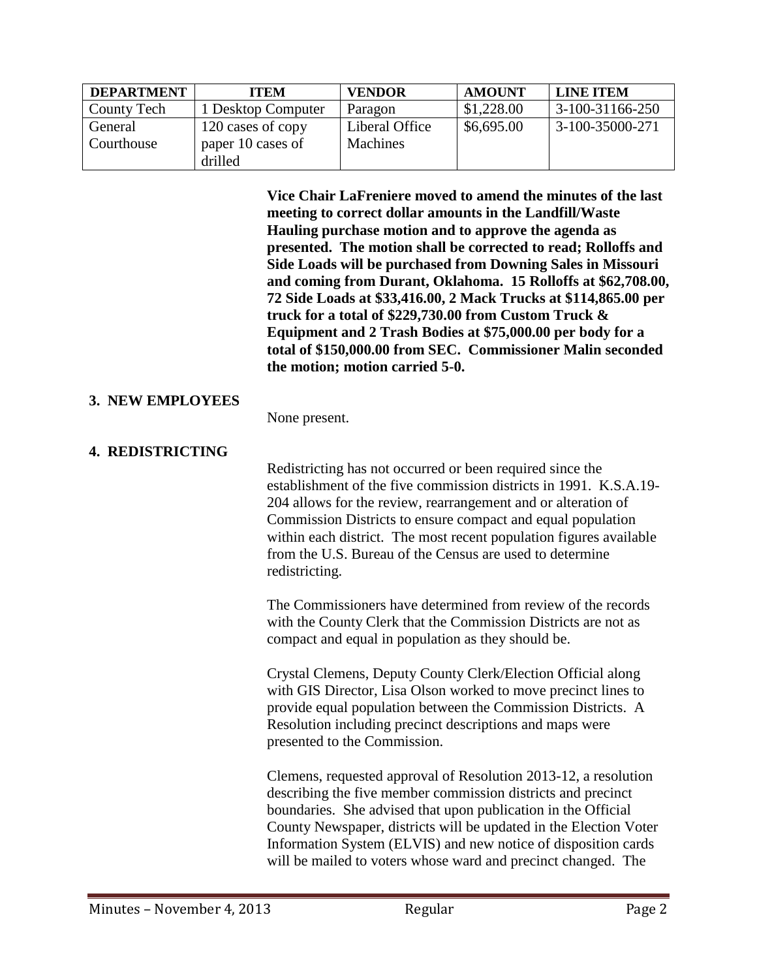| <b>DEPARTMENT</b> | <b>ITEM</b>        | <b>VENDOR</b>  | <b>AMOUNT</b> | <b>LINE ITEM</b>  |
|-------------------|--------------------|----------------|---------------|-------------------|
| County Tech       | 1 Desktop Computer | Paragon        | \$1,228.00    | $3-100-31166-250$ |
| General           | 120 cases of copy  | Liberal Office | \$6,695.00    | 3-100-35000-271   |
| Courthouse        | paper 10 cases of  | Machines       |               |                   |
|                   | drilled            |                |               |                   |

**Vice Chair LaFreniere moved to amend the minutes of the last meeting to correct dollar amounts in the Landfill/Waste Hauling purchase motion and to approve the agenda as presented. The motion shall be corrected to read; Rolloffs and Side Loads will be purchased from Downing Sales in Missouri and coming from Durant, Oklahoma. 15 Rolloffs at \$62,708.00, 72 Side Loads at \$33,416.00, 2 Mack Trucks at \$114,865.00 per truck for a total of \$229,730.00 from Custom Truck & Equipment and 2 Trash Bodies at \$75,000.00 per body for a total of \$150,000.00 from SEC. Commissioner Malin seconded the motion; motion carried 5-0.**

#### **3. NEW EMPLOYEES**

None present.

### **4. REDISTRICTING**

Redistricting has not occurred or been required since the establishment of the five commission districts in 1991. K.S.A.19- 204 allows for the review, rearrangement and or alteration of Commission Districts to ensure compact and equal population within each district. The most recent population figures available from the U.S. Bureau of the Census are used to determine redistricting.

The Commissioners have determined from review of the records with the County Clerk that the Commission Districts are not as compact and equal in population as they should be.

Crystal Clemens, Deputy County Clerk/Election Official along with GIS Director, Lisa Olson worked to move precinct lines to provide equal population between the Commission Districts. A Resolution including precinct descriptions and maps were presented to the Commission.

Clemens, requested approval of Resolution 2013-12, a resolution describing the five member commission districts and precinct boundaries. She advised that upon publication in the Official County Newspaper, districts will be updated in the Election Voter Information System (ELVIS) and new notice of disposition cards will be mailed to voters whose ward and precinct changed. The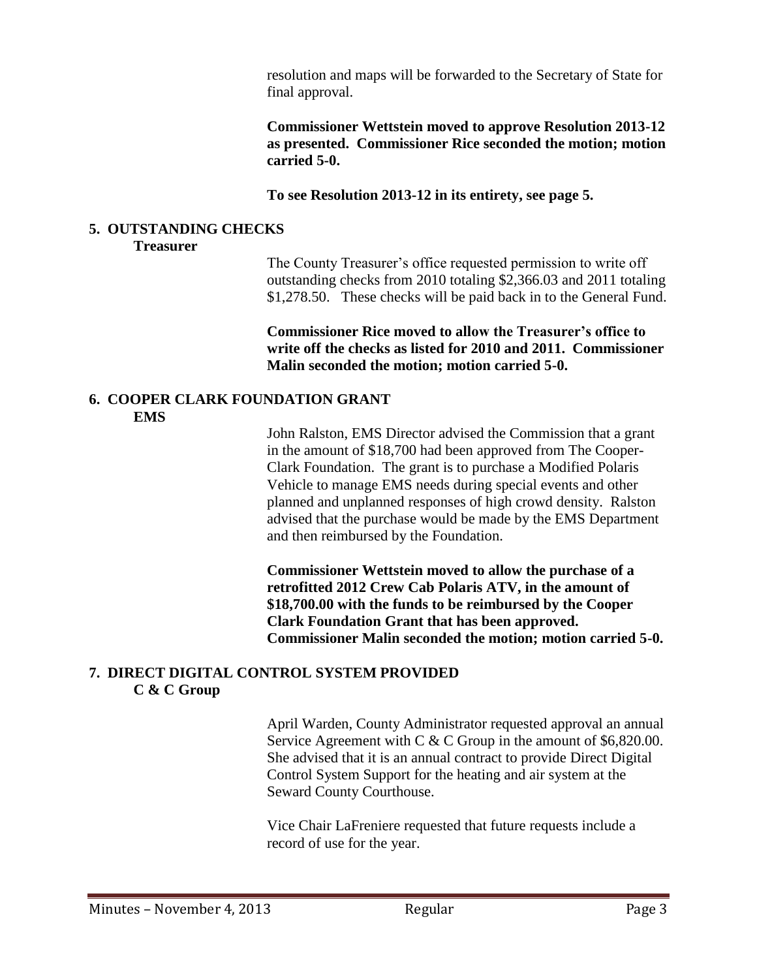resolution and maps will be forwarded to the Secretary of State for final approval.

**Commissioner Wettstein moved to approve Resolution 2013-12 as presented. Commissioner Rice seconded the motion; motion carried 5-0.**

**To see Resolution 2013-12 in its entirety, see page 5.**

#### **5. OUTSTANDING CHECKS**

#### **Treasurer**

The County Treasurer's office requested permission to write off outstanding checks from 2010 totaling \$2,366.03 and 2011 totaling \$1,278.50. These checks will be paid back in to the General Fund.

**Commissioner Rice moved to allow the Treasurer's office to write off the checks as listed for 2010 and 2011. Commissioner Malin seconded the motion; motion carried 5-0.**

#### **6. COOPER CLARK FOUNDATION GRANT EMS**

John Ralston, EMS Director advised the Commission that a grant in the amount of \$18,700 had been approved from The Cooper-Clark Foundation. The grant is to purchase a Modified Polaris Vehicle to manage EMS needs during special events and other planned and unplanned responses of high crowd density. Ralston advised that the purchase would be made by the EMS Department and then reimbursed by the Foundation.

**Commissioner Wettstein moved to allow the purchase of a retrofitted 2012 Crew Cab Polaris ATV, in the amount of \$18,700.00 with the funds to be reimbursed by the Cooper Clark Foundation Grant that has been approved. Commissioner Malin seconded the motion; motion carried 5-0.**

### **7. DIRECT DIGITAL CONTROL SYSTEM PROVIDED C & C Group**

April Warden, County Administrator requested approval an annual Service Agreement with C  $&$  C Group in the amount of \$6,820.00. She advised that it is an annual contract to provide Direct Digital Control System Support for the heating and air system at the Seward County Courthouse.

Vice Chair LaFreniere requested that future requests include a record of use for the year.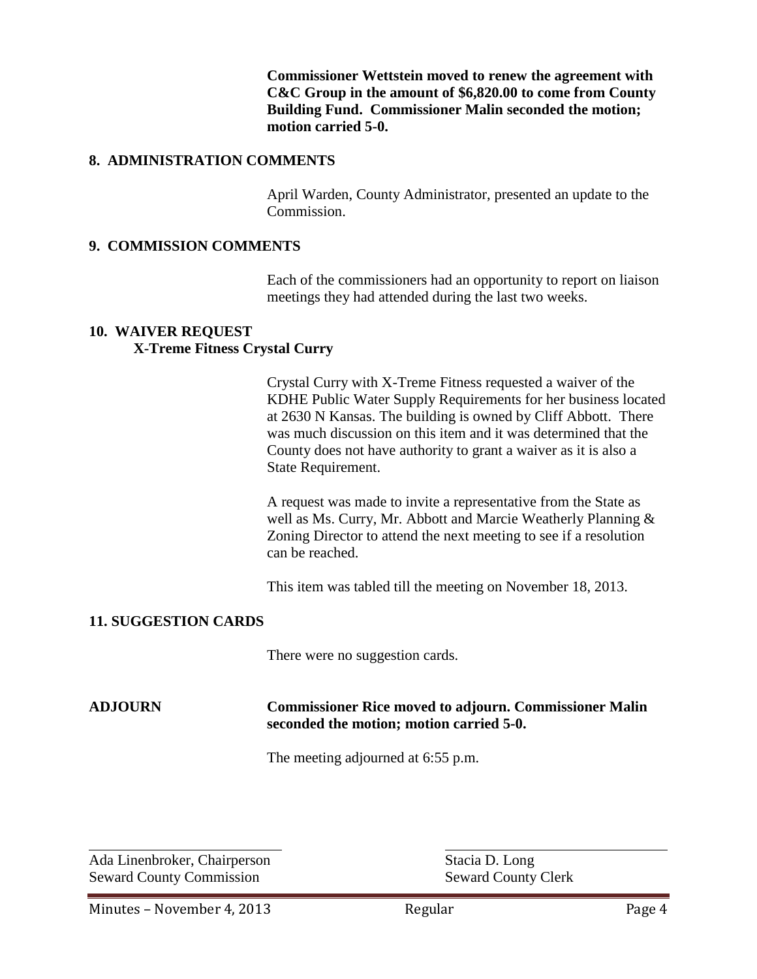**Commissioner Wettstein moved to renew the agreement with C&C Group in the amount of \$6,820.00 to come from County Building Fund. Commissioner Malin seconded the motion; motion carried 5-0.**

#### **8. ADMINISTRATION COMMENTS**

April Warden, County Administrator, presented an update to the Commission.

#### **9. COMMISSION COMMENTS**

Each of the commissioners had an opportunity to report on liaison meetings they had attended during the last two weeks.

#### **10. WAIVER REQUEST**

#### **X-Treme Fitness Crystal Curry**

Crystal Curry with X-Treme Fitness requested a waiver of the KDHE Public Water Supply Requirements for her business located at 2630 N Kansas. The building is owned by Cliff Abbott. There was much discussion on this item and it was determined that the County does not have authority to grant a waiver as it is also a State Requirement.

A request was made to invite a representative from the State as well as Ms. Curry, Mr. Abbott and Marcie Weatherly Planning & Zoning Director to attend the next meeting to see if a resolution can be reached.

This item was tabled till the meeting on November 18, 2013.

#### **11. SUGGESTION CARDS**

There were no suggestion cards.

#### **ADJOURN Commissioner Rice moved to adjourn. Commissioner Malin seconded the motion; motion carried 5-0.**

The meeting adjourned at 6:55 p.m.

Ada Linenbroker, Chairperson Stacia D. Long Seward County Commission<br>
Seward County Clerk

 $\overline{a}$ 

Minutes – November 4, 2013 Regular Regular Page 4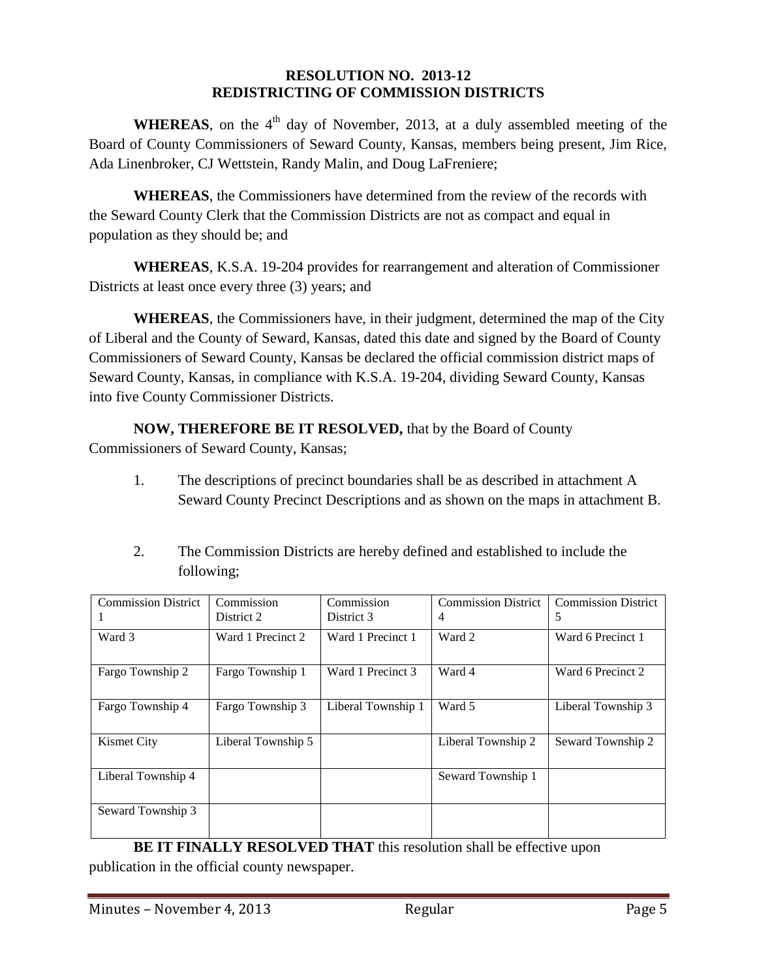#### **RESOLUTION NO. 2013-12 REDISTRICTING OF COMMISSION DISTRICTS**

**WHEREAS**, on the  $4<sup>th</sup>$  day of November, 2013, at a duly assembled meeting of the Board of County Commissioners of Seward County, Kansas, members being present, Jim Rice, Ada Linenbroker, CJ Wettstein, Randy Malin, and Doug LaFreniere;

**WHEREAS**, the Commissioners have determined from the review of the records with the Seward County Clerk that the Commission Districts are not as compact and equal in population as they should be; and

**WHEREAS**, K.S.A. 19-204 provides for rearrangement and alteration of Commissioner Districts at least once every three (3) years; and

**WHEREAS**, the Commissioners have, in their judgment, determined the map of the City of Liberal and the County of Seward, Kansas, dated this date and signed by the Board of County Commissioners of Seward County, Kansas be declared the official commission district maps of Seward County, Kansas, in compliance with K.S.A. 19-204, dividing Seward County, Kansas into five County Commissioner Districts.

**NOW, THEREFORE BE IT RESOLVED,** that by the Board of County

Commissioners of Seward County, Kansas;

- 1. The descriptions of precinct boundaries shall be as described in attachment A Seward County Precinct Descriptions and as shown on the maps in attachment B.
- 2. The Commission Districts are hereby defined and established to include the following;

| <b>Commission District</b> | Commission         | Commission         | <b>Commission District</b> | <b>Commission District</b> |
|----------------------------|--------------------|--------------------|----------------------------|----------------------------|
|                            | District 2         | District 3         | 4                          | 5                          |
| Ward 3                     | Ward 1 Precinct 2  | Ward 1 Precinct 1  | Ward 2                     | Ward 6 Precinct 1          |
| Fargo Township 2           | Fargo Township 1   | Ward 1 Precinct 3  | Ward 4                     | Ward 6 Precinct 2          |
| Fargo Township 4           | Fargo Township 3   | Liberal Township 1 | Ward 5                     | Liberal Township 3         |
| <b>Kismet City</b>         | Liberal Township 5 |                    | Liberal Township 2         | Seward Township 2          |
| Liberal Township 4         |                    |                    | Seward Township 1          |                            |
| Seward Township 3          |                    |                    |                            |                            |

**BE IT FINALLY RESOLVED THAT** this resolution shall be effective upon publication in the official county newspaper.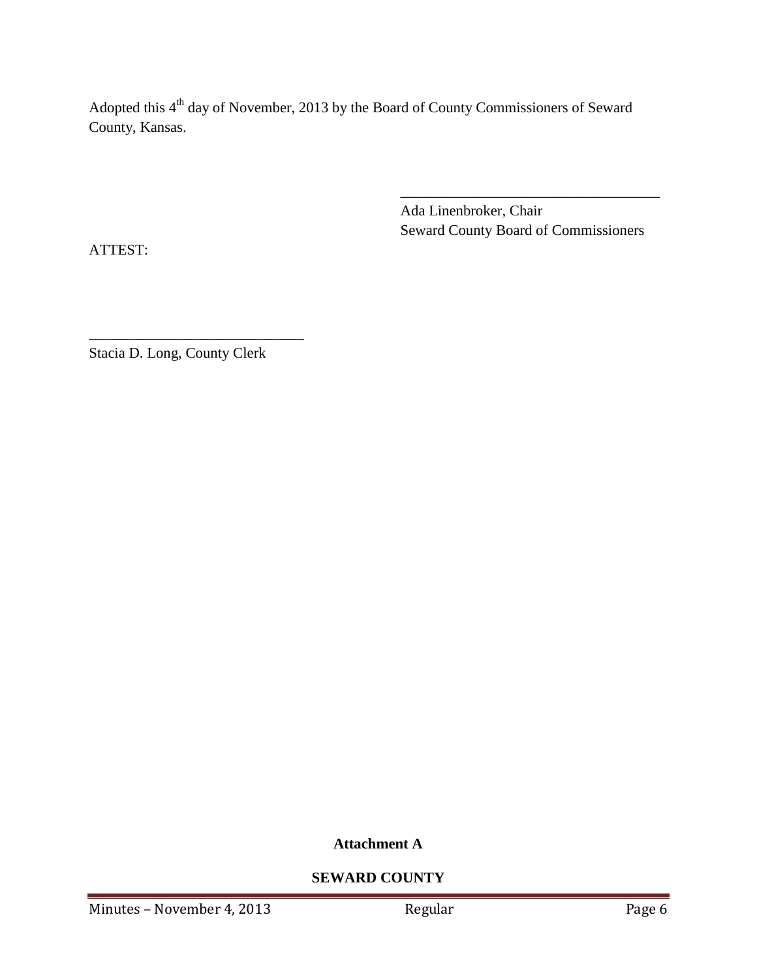Adopted this 4<sup>th</sup> day of November, 2013 by the Board of County Commissioners of Seward County, Kansas.

> Ada Linenbroker, Chair Seward County Board of Commissioners

\_\_\_\_\_\_\_\_\_\_\_\_\_\_\_\_\_\_\_\_\_\_\_\_\_\_\_\_\_\_\_\_\_\_\_

ATTEST:

Stacia D. Long, County Clerk

\_\_\_\_\_\_\_\_\_\_\_\_\_\_\_\_\_\_\_\_\_\_\_\_\_\_\_\_\_

**Attachment A**

**SEWARD COUNTY**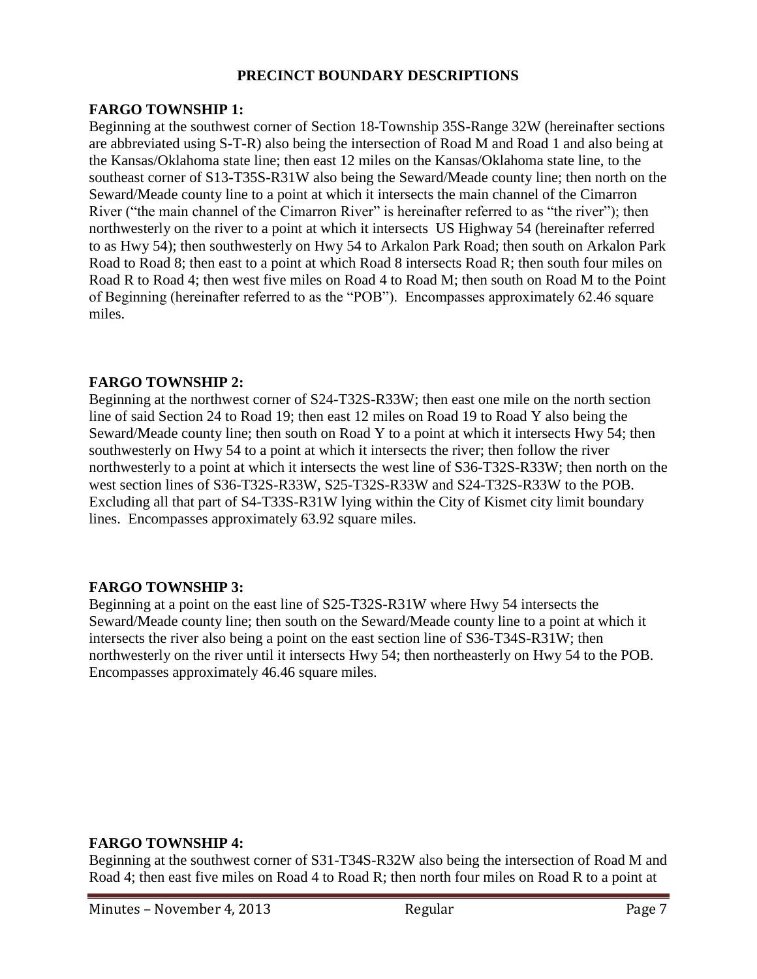### **PRECINCT BOUNDARY DESCRIPTIONS**

### **FARGO TOWNSHIP 1:**

Beginning at the southwest corner of Section 18-Township 35S-Range 32W (hereinafter sections are abbreviated using S-T-R) also being the intersection of Road M and Road 1 and also being at the Kansas/Oklahoma state line; then east 12 miles on the Kansas/Oklahoma state line, to the southeast corner of S13-T35S-R31W also being the Seward/Meade county line; then north on the Seward/Meade county line to a point at which it intersects the main channel of the Cimarron River ("the main channel of the Cimarron River" is hereinafter referred to as "the river"); then northwesterly on the river to a point at which it intersects US Highway 54 (hereinafter referred to as Hwy 54); then southwesterly on Hwy 54 to Arkalon Park Road; then south on Arkalon Park Road to Road 8; then east to a point at which Road 8 intersects Road R; then south four miles on Road R to Road 4; then west five miles on Road 4 to Road M; then south on Road M to the Point of Beginning (hereinafter referred to as the "POB"). Encompasses approximately 62.46 square miles.

### **FARGO TOWNSHIP 2:**

Beginning at the northwest corner of S24-T32S-R33W; then east one mile on the north section line of said Section 24 to Road 19; then east 12 miles on Road 19 to Road Y also being the Seward/Meade county line; then south on Road Y to a point at which it intersects Hwy 54; then southwesterly on Hwy 54 to a point at which it intersects the river; then follow the river northwesterly to a point at which it intersects the west line of S36-T32S-R33W; then north on the west section lines of S36-T32S-R33W, S25-T32S-R33W and S24-T32S-R33W to the POB. Excluding all that part of S4-T33S-R31W lying within the City of Kismet city limit boundary lines. Encompasses approximately 63.92 square miles.

# **FARGO TOWNSHIP 3:**

Beginning at a point on the east line of S25-T32S-R31W where Hwy 54 intersects the Seward/Meade county line; then south on the Seward/Meade county line to a point at which it intersects the river also being a point on the east section line of S36-T34S-R31W; then northwesterly on the river until it intersects Hwy 54; then northeasterly on Hwy 54 to the POB. Encompasses approximately 46.46 square miles.

#### **FARGO TOWNSHIP 4:**

Beginning at the southwest corner of S31-T34S-R32W also being the intersection of Road M and Road 4; then east five miles on Road 4 to Road R; then north four miles on Road R to a point at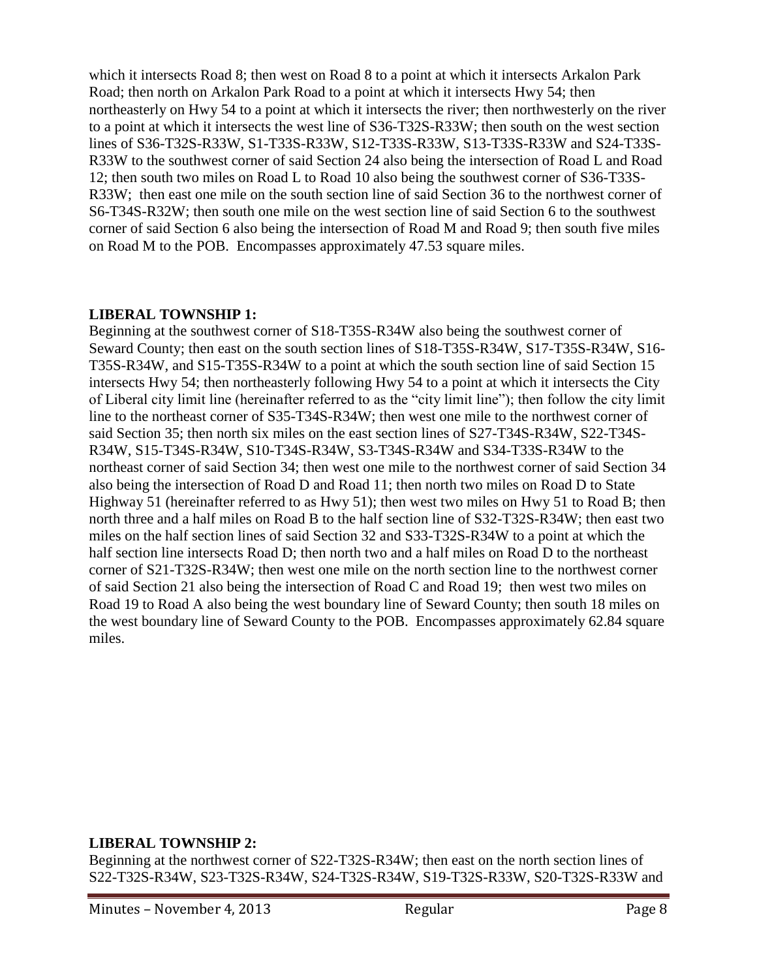which it intersects Road 8; then west on Road 8 to a point at which it intersects Arkalon Park Road; then north on Arkalon Park Road to a point at which it intersects Hwy 54; then northeasterly on Hwy 54 to a point at which it intersects the river; then northwesterly on the river to a point at which it intersects the west line of S36-T32S-R33W; then south on the west section lines of S36-T32S-R33W, S1-T33S-R33W, S12-T33S-R33W, S13-T33S-R33W and S24-T33S-R33W to the southwest corner of said Section 24 also being the intersection of Road L and Road 12; then south two miles on Road L to Road 10 also being the southwest corner of S36-T33S-R33W; then east one mile on the south section line of said Section 36 to the northwest corner of S6-T34S-R32W; then south one mile on the west section line of said Section 6 to the southwest corner of said Section 6 also being the intersection of Road M and Road 9; then south five miles on Road M to the POB. Encompasses approximately 47.53 square miles.

### **LIBERAL TOWNSHIP 1:**

Beginning at the southwest corner of S18-T35S-R34W also being the southwest corner of Seward County; then east on the south section lines of S18-T35S-R34W, S17-T35S-R34W, S16- T35S-R34W, and S15-T35S-R34W to a point at which the south section line of said Section 15 intersects Hwy 54; then northeasterly following Hwy 54 to a point at which it intersects the City of Liberal city limit line (hereinafter referred to as the "city limit line"); then follow the city limit line to the northeast corner of S35-T34S-R34W; then west one mile to the northwest corner of said Section 35; then north six miles on the east section lines of S27-T34S-R34W, S22-T34S-R34W, S15-T34S-R34W, S10-T34S-R34W, S3-T34S-R34W and S34-T33S-R34W to the northeast corner of said Section 34; then west one mile to the northwest corner of said Section 34 also being the intersection of Road D and Road 11; then north two miles on Road D to State Highway 51 (hereinafter referred to as Hwy 51); then west two miles on Hwy 51 to Road B; then north three and a half miles on Road B to the half section line of S32-T32S-R34W; then east two miles on the half section lines of said Section 32 and S33-T32S-R34W to a point at which the half section line intersects Road D; then north two and a half miles on Road D to the northeast corner of S21-T32S-R34W; then west one mile on the north section line to the northwest corner of said Section 21 also being the intersection of Road C and Road 19; then west two miles on Road 19 to Road A also being the west boundary line of Seward County; then south 18 miles on the west boundary line of Seward County to the POB. Encompasses approximately 62.84 square miles.

#### **LIBERAL TOWNSHIP 2:**

Beginning at the northwest corner of S22-T32S-R34W; then east on the north section lines of S22-T32S-R34W, S23-T32S-R34W, S24-T32S-R34W, S19-T32S-R33W, S20-T32S-R33W and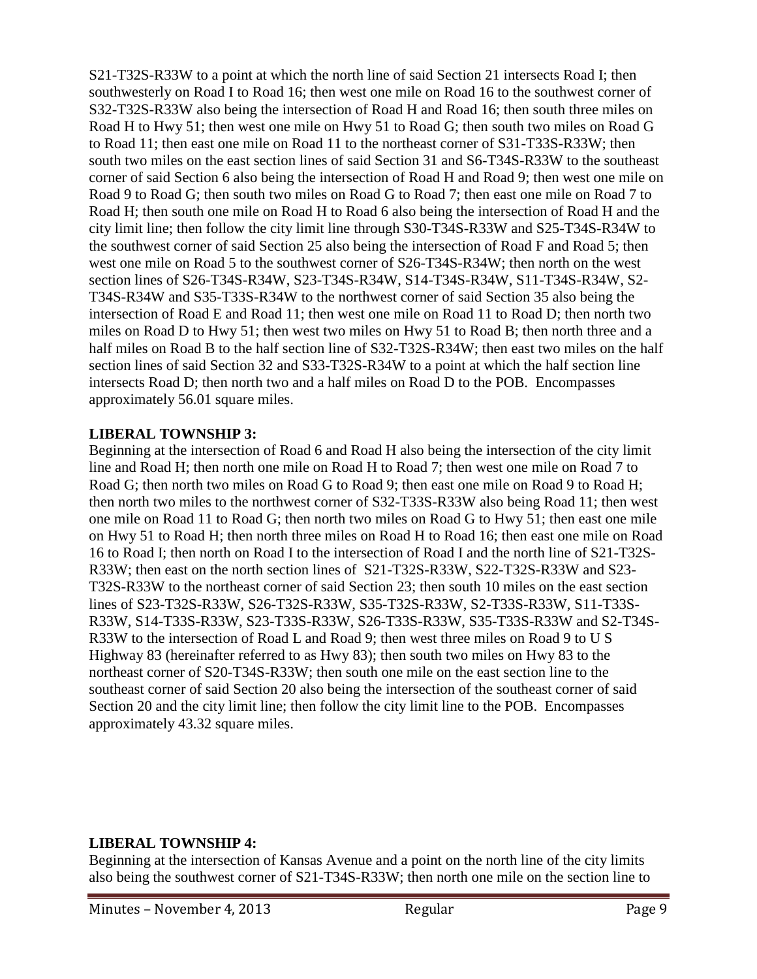S21-T32S-R33W to a point at which the north line of said Section 21 intersects Road I; then southwesterly on Road I to Road 16; then west one mile on Road 16 to the southwest corner of S32-T32S-R33W also being the intersection of Road H and Road 16; then south three miles on Road H to Hwy 51; then west one mile on Hwy 51 to Road G; then south two miles on Road G to Road 11; then east one mile on Road 11 to the northeast corner of S31-T33S-R33W; then south two miles on the east section lines of said Section 31 and S6-T34S-R33W to the southeast corner of said Section 6 also being the intersection of Road H and Road 9; then west one mile on Road 9 to Road G; then south two miles on Road G to Road 7; then east one mile on Road 7 to Road H; then south one mile on Road H to Road 6 also being the intersection of Road H and the city limit line; then follow the city limit line through S30-T34S-R33W and S25-T34S-R34W to the southwest corner of said Section 25 also being the intersection of Road F and Road 5; then west one mile on Road 5 to the southwest corner of S26-T34S-R34W; then north on the west section lines of S26-T34S-R34W, S23-T34S-R34W, S14-T34S-R34W, S11-T34S-R34W, S2- T34S-R34W and S35-T33S-R34W to the northwest corner of said Section 35 also being the intersection of Road E and Road 11; then west one mile on Road 11 to Road D; then north two miles on Road D to Hwy 51; then west two miles on Hwy 51 to Road B; then north three and a half miles on Road B to the half section line of S32-T32S-R34W; then east two miles on the half section lines of said Section 32 and S33-T32S-R34W to a point at which the half section line intersects Road D; then north two and a half miles on Road D to the POB. Encompasses approximately 56.01 square miles.

### **LIBERAL TOWNSHIP 3:**

Beginning at the intersection of Road 6 and Road H also being the intersection of the city limit line and Road H; then north one mile on Road H to Road 7; then west one mile on Road 7 to Road G; then north two miles on Road G to Road 9; then east one mile on Road 9 to Road H; then north two miles to the northwest corner of S32-T33S-R33W also being Road 11; then west one mile on Road 11 to Road G; then north two miles on Road G to Hwy 51; then east one mile on Hwy 51 to Road H; then north three miles on Road H to Road 16; then east one mile on Road 16 to Road I; then north on Road I to the intersection of Road I and the north line of S21-T32S-R33W; then east on the north section lines of S21-T32S-R33W, S22-T32S-R33W and S23- T32S-R33W to the northeast corner of said Section 23; then south 10 miles on the east section lines of S23-T32S-R33W, S26-T32S-R33W, S35-T32S-R33W, S2-T33S-R33W, S11-T33S-R33W, S14-T33S-R33W, S23-T33S-R33W, S26-T33S-R33W, S35-T33S-R33W and S2-T34S-R33W to the intersection of Road L and Road 9; then west three miles on Road 9 to U S Highway 83 (hereinafter referred to as Hwy 83); then south two miles on Hwy 83 to the northeast corner of S20-T34S-R33W; then south one mile on the east section line to the southeast corner of said Section 20 also being the intersection of the southeast corner of said Section 20 and the city limit line; then follow the city limit line to the POB. Encompasses approximately 43.32 square miles.

#### **LIBERAL TOWNSHIP 4:**

Beginning at the intersection of Kansas Avenue and a point on the north line of the city limits also being the southwest corner of S21-T34S-R33W; then north one mile on the section line to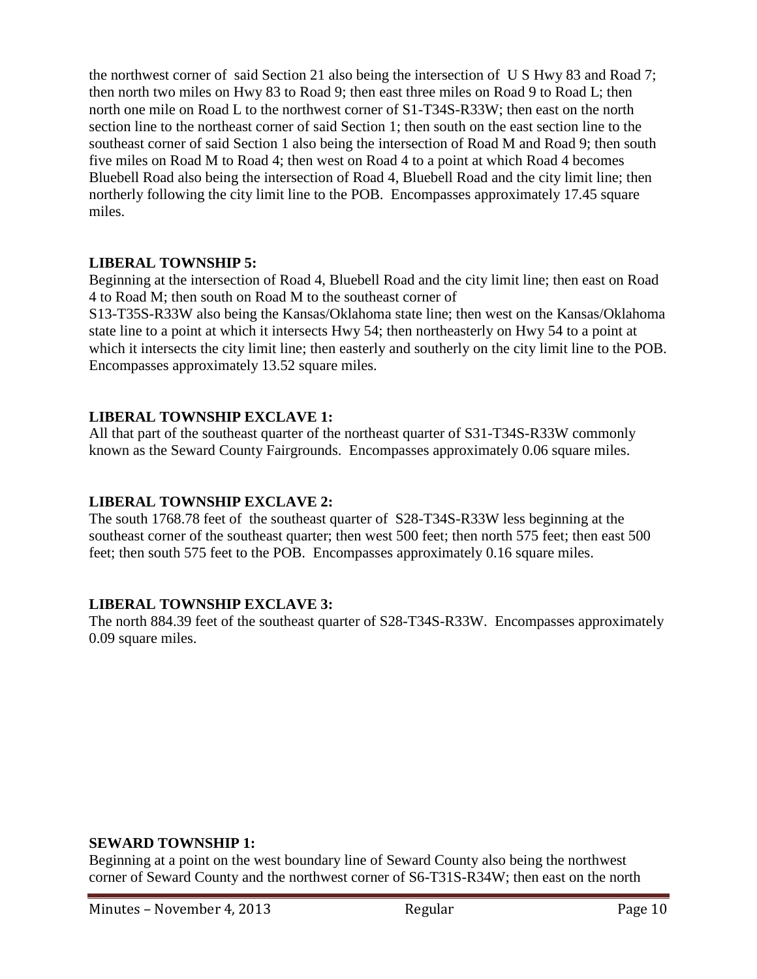the northwest corner of said Section 21 also being the intersection of U S Hwy 83 and Road 7; then north two miles on Hwy 83 to Road 9; then east three miles on Road 9 to Road L; then north one mile on Road L to the northwest corner of S1-T34S-R33W; then east on the north section line to the northeast corner of said Section 1; then south on the east section line to the southeast corner of said Section 1 also being the intersection of Road M and Road 9; then south five miles on Road M to Road 4; then west on Road 4 to a point at which Road 4 becomes Bluebell Road also being the intersection of Road 4, Bluebell Road and the city limit line; then northerly following the city limit line to the POB. Encompasses approximately 17.45 square miles.

### **LIBERAL TOWNSHIP 5:**

Beginning at the intersection of Road 4, Bluebell Road and the city limit line; then east on Road 4 to Road M; then south on Road M to the southeast corner of

S13-T35S-R33W also being the Kansas/Oklahoma state line; then west on the Kansas/Oklahoma state line to a point at which it intersects Hwy 54; then northeasterly on Hwy 54 to a point at which it intersects the city limit line; then easterly and southerly on the city limit line to the POB. Encompasses approximately 13.52 square miles.

### **LIBERAL TOWNSHIP EXCLAVE 1:**

All that part of the southeast quarter of the northeast quarter of S31-T34S-R33W commonly known as the Seward County Fairgrounds. Encompasses approximately 0.06 square miles.

# **LIBERAL TOWNSHIP EXCLAVE 2:**

The south 1768.78 feet of the southeast quarter of S28-T34S-R33W less beginning at the southeast corner of the southeast quarter; then west 500 feet; then north 575 feet; then east 500 feet; then south 575 feet to the POB. Encompasses approximately 0.16 square miles.

# **LIBERAL TOWNSHIP EXCLAVE 3:**

The north 884.39 feet of the southeast quarter of S28-T34S-R33W. Encompasses approximately 0.09 square miles.

#### **SEWARD TOWNSHIP 1:**

Beginning at a point on the west boundary line of Seward County also being the northwest corner of Seward County and the northwest corner of S6-T31S-R34W; then east on the north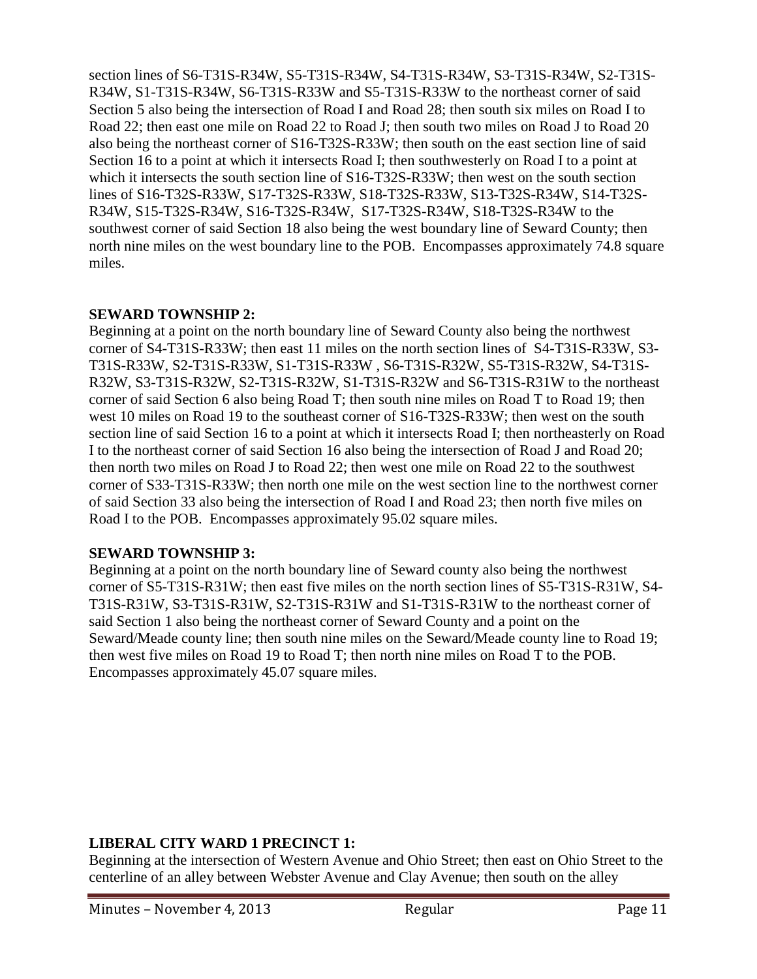section lines of S6-T31S-R34W, S5-T31S-R34W, S4-T31S-R34W, S3-T31S-R34W, S2-T31S-R34W, S1-T31S-R34W, S6-T31S-R33W and S5-T31S-R33W to the northeast corner of said Section 5 also being the intersection of Road I and Road 28; then south six miles on Road I to Road 22; then east one mile on Road 22 to Road J; then south two miles on Road J to Road 20 also being the northeast corner of S16-T32S-R33W; then south on the east section line of said Section 16 to a point at which it intersects Road I; then southwesterly on Road I to a point at which it intersects the south section line of S16-T32S-R33W; then west on the south section lines of S16-T32S-R33W, S17-T32S-R33W, S18-T32S-R33W, S13-T32S-R34W, S14-T32S-R34W, S15-T32S-R34W, S16-T32S-R34W, S17-T32S-R34W, S18-T32S-R34W to the southwest corner of said Section 18 also being the west boundary line of Seward County; then north nine miles on the west boundary line to the POB. Encompasses approximately 74.8 square miles.

# **SEWARD TOWNSHIP 2:**

Beginning at a point on the north boundary line of Seward County also being the northwest corner of S4-T31S-R33W; then east 11 miles on the north section lines of S4-T31S-R33W, S3- T31S-R33W, S2-T31S-R33W, S1-T31S-R33W , S6-T31S-R32W, S5-T31S-R32W, S4-T31S-R32W, S3-T31S-R32W, S2-T31S-R32W, S1-T31S-R32W and S6-T31S-R31W to the northeast corner of said Section 6 also being Road T; then south nine miles on Road T to Road 19; then west 10 miles on Road 19 to the southeast corner of S16-T32S-R33W; then west on the south section line of said Section 16 to a point at which it intersects Road I; then northeasterly on Road I to the northeast corner of said Section 16 also being the intersection of Road J and Road 20; then north two miles on Road J to Road 22; then west one mile on Road 22 to the southwest corner of S33-T31S-R33W; then north one mile on the west section line to the northwest corner of said Section 33 also being the intersection of Road I and Road 23; then north five miles on Road I to the POB. Encompasses approximately 95.02 square miles.

# **SEWARD TOWNSHIP 3:**

Beginning at a point on the north boundary line of Seward county also being the northwest corner of S5-T31S-R31W; then east five miles on the north section lines of S5-T31S-R31W, S4- T31S-R31W, S3-T31S-R31W, S2-T31S-R31W and S1-T31S-R31W to the northeast corner of said Section 1 also being the northeast corner of Seward County and a point on the Seward/Meade county line; then south nine miles on the Seward/Meade county line to Road 19; then west five miles on Road 19 to Road T; then north nine miles on Road T to the POB. Encompasses approximately 45.07 square miles.

# **LIBERAL CITY WARD 1 PRECINCT 1:**

Beginning at the intersection of Western Avenue and Ohio Street; then east on Ohio Street to the centerline of an alley between Webster Avenue and Clay Avenue; then south on the alley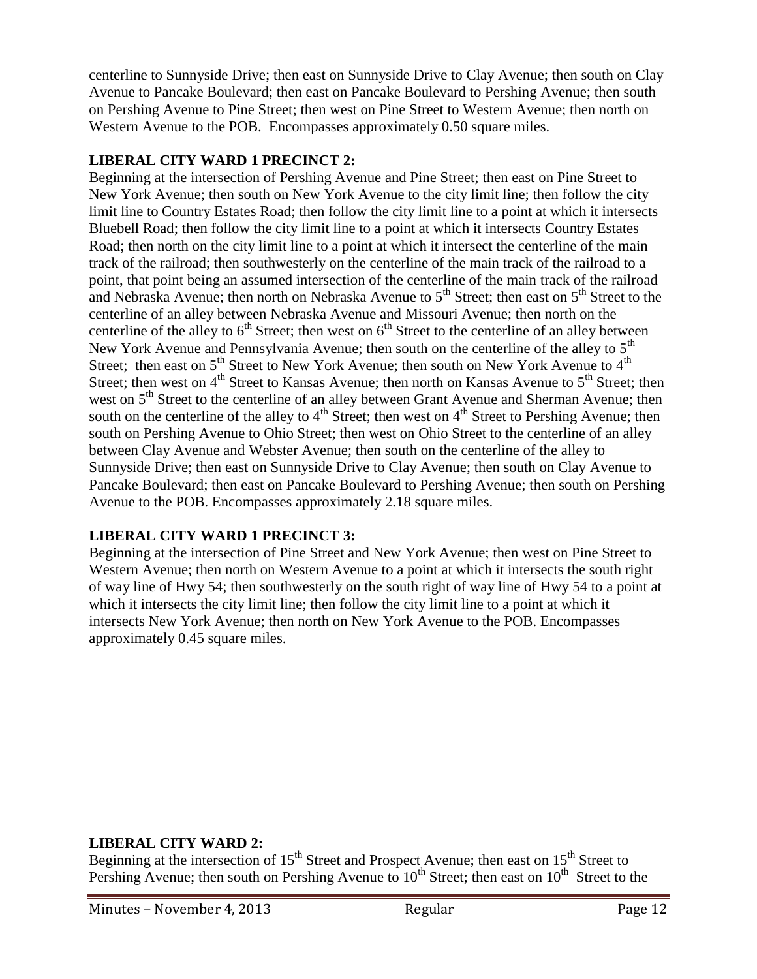centerline to Sunnyside Drive; then east on Sunnyside Drive to Clay Avenue; then south on Clay Avenue to Pancake Boulevard; then east on Pancake Boulevard to Pershing Avenue; then south on Pershing Avenue to Pine Street; then west on Pine Street to Western Avenue; then north on Western Avenue to the POB. Encompasses approximately 0.50 square miles.

### **LIBERAL CITY WARD 1 PRECINCT 2:**

Beginning at the intersection of Pershing Avenue and Pine Street; then east on Pine Street to New York Avenue; then south on New York Avenue to the city limit line; then follow the city limit line to Country Estates Road; then follow the city limit line to a point at which it intersects Bluebell Road; then follow the city limit line to a point at which it intersects Country Estates Road; then north on the city limit line to a point at which it intersect the centerline of the main track of the railroad; then southwesterly on the centerline of the main track of the railroad to a point, that point being an assumed intersection of the centerline of the main track of the railroad and Nebraska Avenue; then north on Nebraska Avenue to  $5<sup>th</sup>$  Street; then east on  $5<sup>th</sup>$  Street to the centerline of an alley between Nebraska Avenue and Missouri Avenue; then north on the centerline of the alley to  $6<sup>th</sup>$  Street; then west on  $6<sup>th</sup>$  Street to the centerline of an alley between New York Avenue and Pennsylvania Avenue; then south on the centerline of the alley to  $5<sup>th</sup>$ Street; then east on  $5<sup>th</sup>$  Street to New York Avenue; then south on New York Avenue to  $4<sup>th</sup>$ Street; then west on 4<sup>th</sup> Street to Kansas Avenue; then north on Kansas Avenue to 5<sup>th</sup> Street; then west on 5<sup>th</sup> Street to the centerline of an alley between Grant Avenue and Sherman Avenue; then south on the centerline of the alley to  $4<sup>th</sup>$  Street; then west on  $4<sup>th</sup>$  Street to Pershing Avenue; then south on Pershing Avenue to Ohio Street; then west on Ohio Street to the centerline of an alley between Clay Avenue and Webster Avenue; then south on the centerline of the alley to Sunnyside Drive; then east on Sunnyside Drive to Clay Avenue; then south on Clay Avenue to Pancake Boulevard; then east on Pancake Boulevard to Pershing Avenue; then south on Pershing Avenue to the POB. Encompasses approximately 2.18 square miles.

# **LIBERAL CITY WARD 1 PRECINCT 3:**

Beginning at the intersection of Pine Street and New York Avenue; then west on Pine Street to Western Avenue; then north on Western Avenue to a point at which it intersects the south right of way line of Hwy 54; then southwesterly on the south right of way line of Hwy 54 to a point at which it intersects the city limit line; then follow the city limit line to a point at which it intersects New York Avenue; then north on New York Avenue to the POB. Encompasses approximately 0.45 square miles.

#### **LIBERAL CITY WARD 2:**

Beginning at the intersection of  $15<sup>th</sup>$  Street and Prospect Avenue; then east on  $15<sup>th</sup>$  Street to Pershing Avenue; then south on Pershing Avenue to  $10^{th}$  Street; then east on  $10^{th}$  Street to the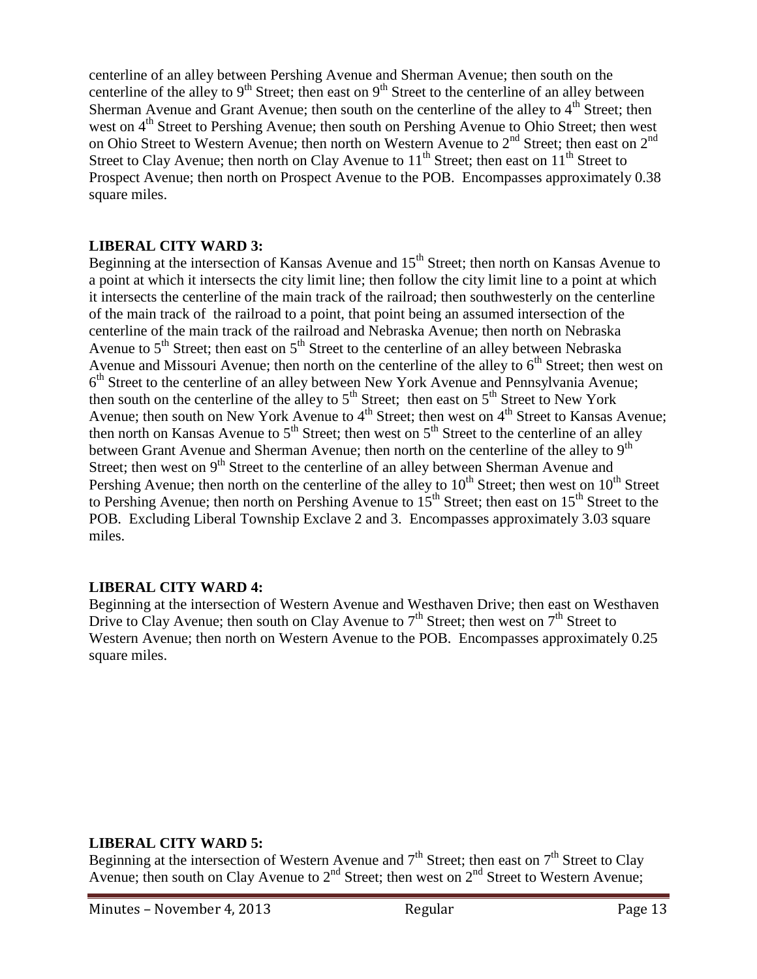centerline of an alley between Pershing Avenue and Sherman Avenue; then south on the centerline of the alley to  $9<sup>th</sup>$  Street; then east on  $9<sup>th</sup>$  Street to the centerline of an alley between Sherman Avenue and Grant Avenue; then south on the centerline of the alley to  $4<sup>th</sup>$  Street; then west on  $4<sup>th</sup>$  Street to Pershing Avenue; then south on Pershing Avenue to Ohio Street; then west on Ohio Street to Western Avenue; then north on Western Avenue to  $2<sup>nd</sup>$  Street; then east on  $2<sup>nd</sup>$ Street to Clay Avenue; then north on Clay Avenue to  $11<sup>th</sup>$  Street; then east on  $11<sup>th</sup>$  Street to Prospect Avenue; then north on Prospect Avenue to the POB. Encompasses approximately 0.38 square miles.

### **LIBERAL CITY WARD 3:**

Beginning at the intersection of Kansas Avenue and  $15<sup>th</sup>$  Street; then north on Kansas Avenue to a point at which it intersects the city limit line; then follow the city limit line to a point at which it intersects the centerline of the main track of the railroad; then southwesterly on the centerline of the main track of the railroad to a point, that point being an assumed intersection of the centerline of the main track of the railroad and Nebraska Avenue; then north on Nebraska Avenue to  $5<sup>th</sup>$  Street; then east on  $5<sup>th</sup>$  Street to the centerline of an alley between Nebraska Avenue and Missouri Avenue; then north on the centerline of the alley to  $6<sup>th</sup>$  Street; then west on 6<sup>th</sup> Street to the centerline of an alley between New York Avenue and Pennsylvania Avenue; then south on the centerline of the alley to  $5<sup>th</sup>$  Street; then east on  $5<sup>th</sup>$  Street to New York Avenue; then south on New York Avenue to  $4<sup>th</sup>$  Street; then west on  $4<sup>th</sup>$  Street to Kansas Avenue; then north on Kansas Avenue to  $5<sup>th</sup>$  Street; then west on  $5<sup>th</sup>$  Street to the centerline of an alley between Grant Avenue and Sherman Avenue; then north on the centerline of the alley to  $9<sup>th</sup>$ Street; then west on  $9<sup>th</sup>$  Street to the centerline of an alley between Sherman Avenue and Pershing Avenue; then north on the centerline of the alley to  $10^{th}$  Street; then west on  $10^{th}$  Street to Pershing Avenue; then north on Pershing Avenue to  $15<sup>th</sup>$  Street; then east on  $15<sup>th</sup>$  Street to the POB. Excluding Liberal Township Exclave 2 and 3. Encompasses approximately 3.03 square miles.

# **LIBERAL CITY WARD 4:**

Beginning at the intersection of Western Avenue and Westhaven Drive; then east on Westhaven Drive to Clay Avenue; then south on Clay Avenue to  $7<sup>th</sup>$  Street; then west on  $7<sup>th</sup>$  Street to Western Avenue; then north on Western Avenue to the POB. Encompasses approximately 0.25 square miles.

#### **LIBERAL CITY WARD 5:**

Beginning at the intersection of Western Avenue and  $7<sup>th</sup>$  Street; then east on  $7<sup>th</sup>$  Street to Clay Avenue; then south on Clay Avenue to  $2<sup>nd</sup>$  Street; then west on  $2<sup>nd</sup>$  Street to Western Avenue;